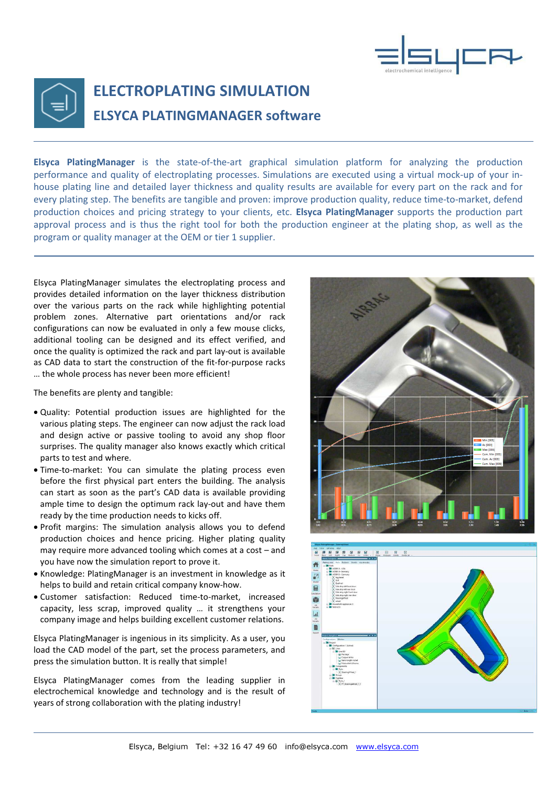



## ELECTROPLATING SIMULATION ELSYCA PLATINGMANAGER software

Elsyca PlatingManager is the state-of-the-art graphical simulation platform for analyzing the production performance and quality of electroplating processes. Simulations are executed using a virtual mock-up of your inhouse plating line and detailed layer thickness and quality results are available for every part on the rack and for every plating step. The benefits are tangible and proven: improve production quality, reduce time-to-market, defend production choices and pricing strategy to your clients, etc. Elsyca PlatingManager supports the production part approval process and is thus the right tool for both the production engineer at the plating shop, as well as the program or quality manager at the OEM or tier 1 supplier.

Elsyca PlatingManager simulates the electroplating process and provides detailed information on the layer thickness distribution over the various parts on the rack while highlighting potential problem zones. Alternative part orientations and/or rack configurations can now be evaluated in only a few mouse clicks, additional tooling can be designed and its effect verified, and once the quality is optimized the rack and part lay-out is available as CAD data to start the construction of the fit-for-purpose racks … the whole process has never been more efficient!

The benefits are plenty and tangible:

- Quality: Potential production issues are highlighted for the various plating steps. The engineer can now adjust the rack load and design active or passive tooling to avoid any shop floor surprises. The quality manager also knows exactly which critical parts to test and where.
- Time-to-market: You can simulate the plating process even before the first physical part enters the building. The analysis can start as soon as the part's CAD data is available providing ample time to design the optimum rack lay-out and have them ready by the time production needs to kicks off.
- Profit margins: The simulation analysis allows you to defend production choices and hence pricing. Higher plating quality may require more advanced tooling which comes at a cost – and you have now the simulation report to prove it.
- Knowledge: PlatingManager is an investment in knowledge as it helps to build and retain critical company know-how.
- Customer satisfaction: Reduced time-to-market, increased capacity, less scrap, improved quality … it strengthens your company image and helps building excellent customer relations.

Elsyca PlatingManager is ingenious in its simplicity. As a user, you load the CAD model of the part, set the process parameters, and press the simulation button. It is really that simple!

Elsyca PlatingManager comes from the leading supplier in electrochemical knowledge and technology and is the result of years of strong collaboration with the plating industry!